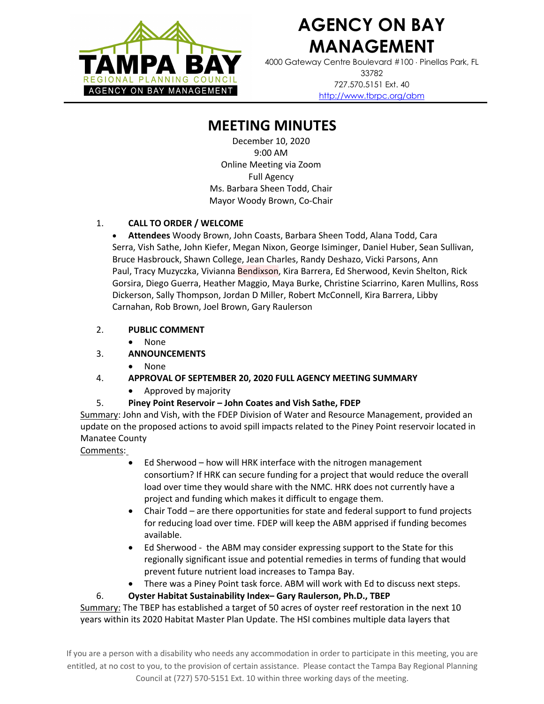

# **AGENCY ON BAY MANAGEMENT**

4000 Gateway Centre Boulevard #100 × Pinellas Park, FL 33782 727.570.5151 Ext. 40 http://www.tbrpc.org/abm

# **MEETING MINUTES**

December 10, 2020 9:00 AM Online Meeting via Zoom Full Agency Ms. Barbara Sheen Todd, Chair Mayor Woody Brown, Co-Chair

#### 1. **CALL TO ORDER / WELCOME**

• **Attendees** Woody Brown, John Coasts, Barbara Sheen Todd, Alana Todd, Cara Serra, Vish Sathe, John Kiefer, Megan Nixon, George Isiminger, Daniel Huber, Sean Sullivan, Bruce Hasbrouck, Shawn College, Jean Charles, Randy Deshazo, Vicki Parsons, Ann Paul, Tracy Muzyczka, Vivianna Bendixson, Kira Barrera, Ed Sherwood, Kevin Shelton, Rick Gorsira, Diego Guerra, Heather Maggio, Maya Burke, Christine Sciarrino, Karen Mullins, Ross Dickerson, Sally Thompson, Jordan D Miller, Robert McConnell, Kira Barrera, Libby Carnahan, Rob Brown, Joel Brown, Gary Raulerson

### 2. **PUBLIC COMMENT**

• None

# 3. **ANNOUNCEMENTS**

• None

# 4. **APPROVAL OF SEPTEMBER 20, 2020 FULL AGENCY MEETING SUMMARY**

• Approved by majority

# 5. **Piney Point Reservoir – John Coates and Vish Sathe, FDEP**

Summary: John and Vish, with the FDEP Division of Water and Resource Management, provided an update on the proposed actions to avoid spill impacts related to the Piney Point reservoir located in Manatee County

# Comments:

- Ed Sherwood how will HRK interface with the nitrogen management consortium? If HRK can secure funding for a project that would reduce the overall load over time they would share with the NMC. HRK does not currently have a project and funding which makes it difficult to engage them.
- Chair Todd are there opportunities for state and federal support to fund projects for reducing load over time. FDEP will keep the ABM apprised if funding becomes available.
- Ed Sherwood the ABM may consider expressing support to the State for this regionally significant issue and potential remedies in terms of funding that would prevent future nutrient load increases to Tampa Bay.
- There was a Piney Point task force. ABM will work with Ed to discuss next steps.

#### 6. **Oyster Habitat Sustainability Index– Gary Raulerson, Ph.D., TBEP**

Summary: The TBEP has established a target of 50 acres of oyster reef restoration in the next 10 years within its 2020 Habitat Master Plan Update. The HSI combines multiple data layers that

If you are a person with a disability who needs any accommodation in order to participate in this meeting, you are entitled, at no cost to you, to the provision of certain assistance. Please contact the Tampa Bay Regional Planning Council at (727) 570-5151 Ext. 10 within three working days of the meeting.